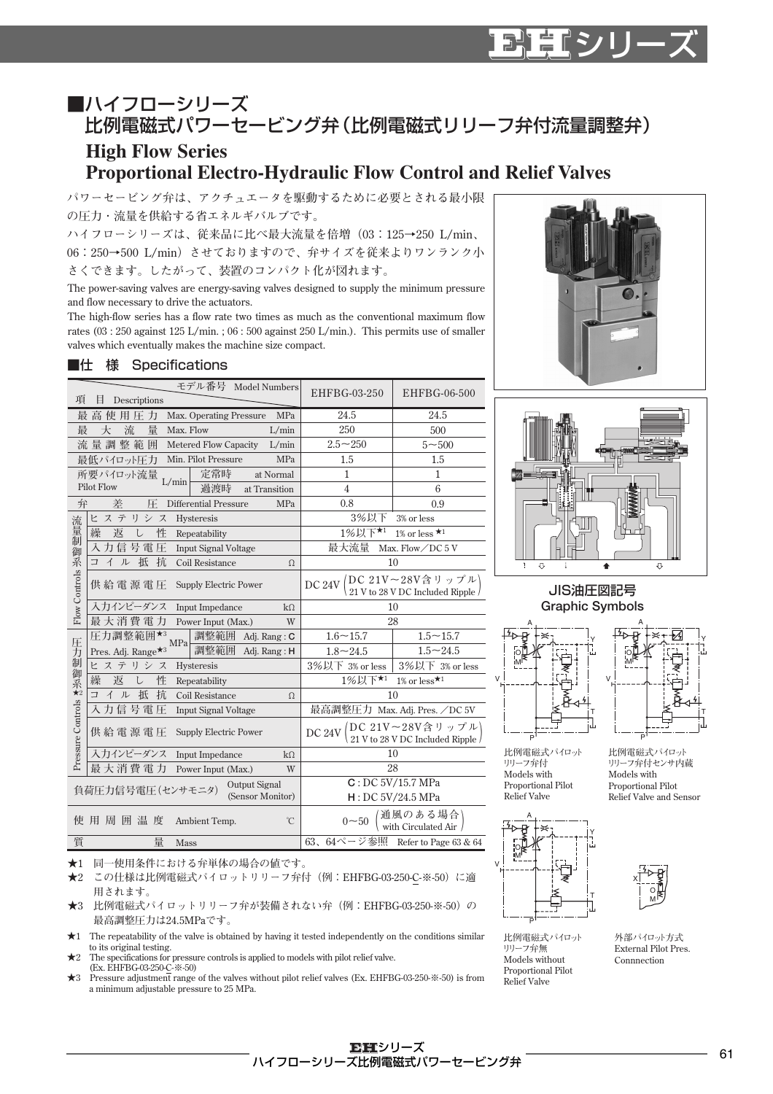## ■ハイフローシリーズ 比例電磁式パワーセービング弁(比例電磁式リリーフ弁付流量調整弁)

## **High Flow Series Proportional Electro-Hydraulic Flow Control and Relief Valves**

**パワーセービング弁は、アクチュエータを駆動するために必要とされる最小限 の圧力・流量を供給する省エネルギバルブです。**

**ハイフローシリーズは、従来品に比べ最大流量を倍増(03:125→250 L/min、 06:250→500 L/min)させておりますので、弁サイズを従来よりワンランク小 さくできます。したがって、装置のコンパクト化が図れます。**

**The power-saving valves are energy-saving valves designed to supply the minimum pressure and flow necessary to drive the actuators.**

**The high-flow series has a flow rate two times as much as the conventional maximum flow rates (03 : 250 against 125 L/min. ; 06 : 500 against 250 L/min.). This permits use of smaller valves which eventually makes the machine size compact.**

## ■仕 様 Specifications

| 項                 | モデル番号 Model Numbers<br>Ħ                                  | EHFBG-03-250                                                     | EHFBG-06-500                     |  |
|-------------------|-----------------------------------------------------------|------------------------------------------------------------------|----------------------------------|--|
|                   | Descriptions                                              |                                                                  |                                  |  |
|                   | Max. Operating Pressure<br>MPa<br>使用圧力<br>最 高             | 24.5                                                             | 24.5                             |  |
| 最                 | 流<br>量<br>Max. Flow<br>L/min<br>大                         | 250                                                              | 500                              |  |
|                   | 流量調整範囲<br>Metered Flow Capacity<br>L/min                  | $2.5 - 250$                                                      | $5 - 500$                        |  |
|                   | 最低パイロット圧力<br>Min. Pilot Pressure<br>MPa                   | 1.5                                                              | 1.5                              |  |
|                   | 定常時<br>所要パイロット流量<br>at Normal                             | 1                                                                | 1                                |  |
|                   | L/min<br><b>Pilot Flow</b><br>過渡時<br>at Transition        | $\overline{4}$                                                   | 6                                |  |
| 弁                 | 差<br><b>Differential Pressure</b><br>MPa<br>圧             | 0.8                                                              | 0.9                              |  |
| 流                 | ヒステリシス<br>Hysteresis                                      | 3%以下<br>3% or less                                               |                                  |  |
| 量制                | 繰<br>返<br>性<br>L<br>Repeatability                         | 1%以下★1<br>1% or less $\star$ <sup>1</sup>                        |                                  |  |
| 御                 | 入力信号電压<br><b>Input Signal Voltage</b>                     | 最大流量<br>Max. Flow/DC 5 V                                         |                                  |  |
| 系                 | 抵<br>抗<br>イル<br>Coil Resistance<br>コ<br>Ω                 | 10                                                               |                                  |  |
| Flow Controls     | 供給電源電圧<br><b>Supply Electric Power</b>                    | DC 24V DC 21V~28V含リップル)<br>21 V to 28 V DC Included Ripple       |                                  |  |
|                   | 入力インピーダンス<br><b>Input Impedance</b><br>$k\Omega$          | 10                                                               |                                  |  |
|                   | 最大消費電力<br>Power Input (Max.)<br>W                         | 28                                                               |                                  |  |
| 圧                 | 圧力調整範囲*3<br>調整範囲<br>Adj. Rang: C<br>MPa                   | $1.6 - 15.7$                                                     | $1.5 - 15.7$                     |  |
| 力                 | Pres. Adj. Range <sup>★3</sup><br>調整範囲<br>Adj. Rang: H    | $1.8 - 24.5$                                                     | $1.5 - 24.5$                     |  |
| 制御                | ヒステリシス<br>Hysteresis                                      | 3%以下 3% or less                                                  | 3%以下 3% or less                  |  |
|                   | 性<br>繰<br>返<br>L<br>Repeatability                         | 1%以下★1<br>1% or less $\star$ <sup>1</sup>                        |                                  |  |
| 系<br>★2           | 抵<br>抗<br>コイル<br>Coil Resistance<br>Ω                     | 10                                                               |                                  |  |
|                   | 入力信号電圧<br>Input Signal Voltage                            | 最高調整圧力 Max. Adj. Pres. /DC 5V                                    |                                  |  |
| Pressure Controls | 供給電源電圧<br><b>Supply Electric Power</b>                    | / DC 21V~28V含リップル)<br>、21 V to 28 V DC Included Ripple<br>DC 24V |                                  |  |
|                   | 入力インピーダンス<br>Input Impedance<br>$k\Omega$                 | 10                                                               |                                  |  |
|                   | 最大消費電力<br>W<br>Power Input (Max.)                         | 28                                                               |                                  |  |
|                   | Output Signal<br>負荷圧力信号電圧(センサモニタ)                         | $\overline{C:DC~5V}$ /15.7 MPa                                   |                                  |  |
|                   | (Sensor Monitor)                                          | H:DC 5V/24.5 MPa                                                 |                                  |  |
|                   | 使 用 周 囲 温 度<br>$\widetilde{\mathcal{C}}$<br>Ambient Temp. | '通風のある場合'<br>, with Circulated Air /<br>$0 - 50$                 |                                  |  |
| 質                 | 量<br>Mass                                                 |                                                                  | 63、64ページ参照 Refer to Page 63 & 64 |  |



マーマン



## JIS油圧図記号 **Graphic Symbols**





**比例電磁式パイロット リリーフ弁付 Models with Proportional Pilot Relief Valve**







**★1 同一使用条件における弁単体の場合の値です。**

**★2 この仕様は比例電磁式パイロットリリーフ弁付(例: EHFBG-03-250-C-※-50)に適 用されます。**

**★3 比例電磁式パイロットリリーフ弁が装備されない弁(例: EHFBG-03-250-※-50)の 最高調整圧力は24.5MPaです。**

**★1 The repeatability of the valve is obtained by having it tested independently on the conditions similar to its original testing.**

**★2 The specifications for pressure controls is applied to models with pilot relief valve. (Ex. EHFBG-03-250-C-※-50)**

**★3 Pressure adjustment range of the valves without pilot relief valves (Ex. EHFBG-03-250-※-50) is from a minimum adjustable pressure to 25 MPa.**



O M

X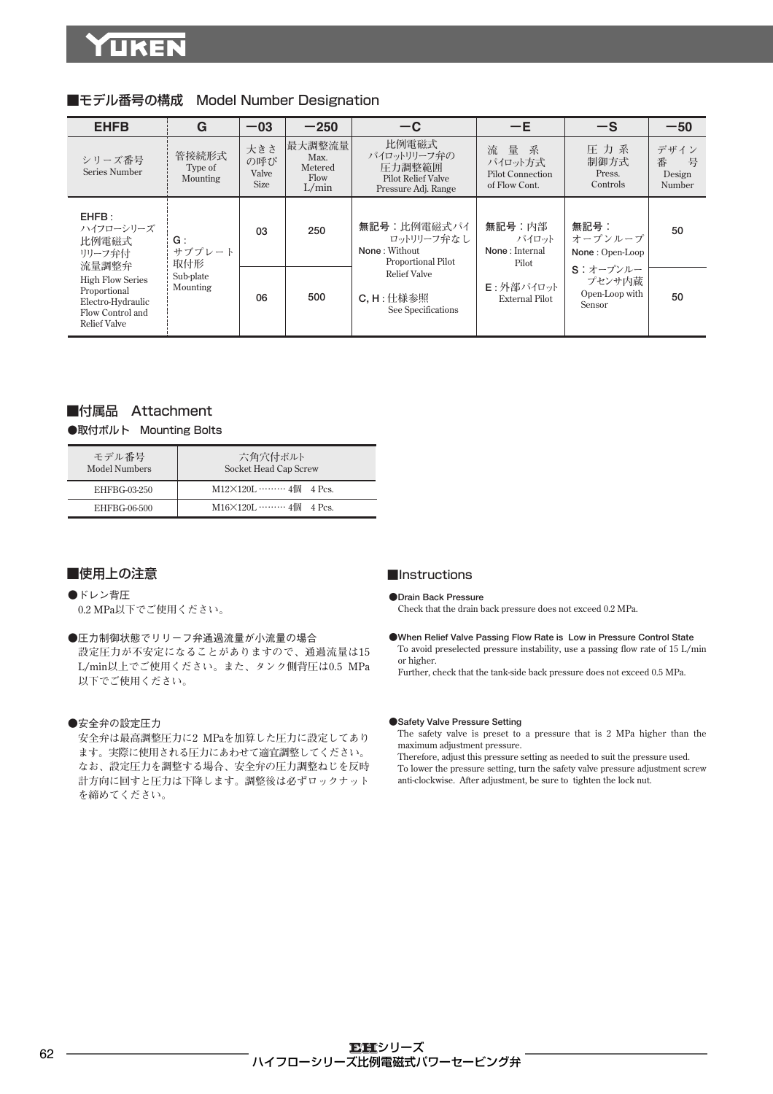| <b>EHFB</b>                                                                                             | G                                                        | $-03$                              | $-250$                                     | $-c$                                                                                                                                    | $-E$                                                                             | $-S$                                                                                  | $-50$                              |
|---------------------------------------------------------------------------------------------------------|----------------------------------------------------------|------------------------------------|--------------------------------------------|-----------------------------------------------------------------------------------------------------------------------------------------|----------------------------------------------------------------------------------|---------------------------------------------------------------------------------------|------------------------------------|
| シリーズ番号<br>Series Number                                                                                 | 管接続形式<br>Type of<br>Mounting                             | 大きさ<br>の呼び<br>Valve<br><b>Size</b> | 最大調整流量<br>Max.<br>Metered<br>Flow<br>L/min | 比例電磁式<br>パイロットリリーフ弁の<br>圧力調整範囲<br><b>Pilot Relief Valve</b><br>Pressure Adj. Range                                                      | 流量系<br>パイロット方式<br><b>Pilot Connection</b><br>of Flow Cont.                       | 圧力系<br>制御方式<br>Press.<br>Controls                                                     | デザイン<br>番<br>号<br>Design<br>Number |
| EHFB:<br>ハイフローシリーズ<br>比例電磁式<br>リリーフ弁付<br>流量調整弁                                                          | 03<br>G:<br>サブプレート<br>取付形<br>Sub-plate<br>Mounting<br>06 |                                    | 250                                        | 無記号:比例電磁式パイ<br>ロットリリーフ弁なし<br>None: Without<br><b>Proportional Pilot</b><br><b>Relief Valve</b><br>$C$ , $H:$ 仕様参照<br>See Specifications | 無記号:内部<br>パイロット<br>None: Internal<br>Pilot<br>E:外部パイロット<br><b>External Pilot</b> | 無記号:<br>オープンループ<br>None: Open-Loop<br>S: オープンルー<br>プセンサ内蔵<br>Open-Loop with<br>Sensor | 50                                 |
| <b>High Flow Series</b><br>Proportional<br>Electro-Hydraulic<br>Flow Control and<br><b>Relief Valve</b> |                                                          |                                    | 500                                        |                                                                                                                                         |                                                                                  |                                                                                       | 50                                 |

## ■モデル番号の構成 Model Number Designation

## ■付属品 Attachment

●取付ボルト Mounting Bolts

| モデル番号<br>Model Numbers | 六角穴付ボルト<br>Socket Head Cap Screw |
|------------------------|----------------------------------|
| EHFBG-03-250           | $M12 \times 120L$ 4個 4 Pcs.      |
| EHFBG-06-500           | $M16 \times 120L$ 4個 4 Pcs.      |

### ■使用上の注意

- ●ドレン背圧  **0.2 MPa以下でご使用ください。**
- ●圧力制御状態でリリーフ弁通過流量が小流量の場合 **設定圧力が不安定になることがありますので、通過流量は15 L/min以上でご使用ください。また、タンク側背圧は0.5 MPa 以下でご使用ください。**

#### ●安全弁の設定圧力

**安全弁は最高調整圧力に2 MPaを加算した圧力に設定してあり ます。実際に使用される圧力にあわせて適宜調整してください。 なお、設定圧力を調整する場合、安全弁の圧力調整ねじを反時 計方向に回すと圧力は下降します。調整後は必ずロックナット を締めてください。**

### ■Instructions

#### **●Drain Back Pressure**

**Check that the drain back pressure does not exceed 0.2 MPa.**

**●When Relief Valve Passing Flow Rate is Low in Pressure Control State To avoid preselected pressure instability, use a passing flow rate of 15 L/min or higher.**

**Further, check that the tank-side back pressure does not exceed 0.5 MPa.**

#### **●Safety Valve Pressure Setting**

**The safety valve is preset to a pressure that is 2 MPa higher than the maximum adjustment pressure.**

**Therefore, adjust this pressure setting as needed to suit the pressure used. To lower the pressure setting, turn the safety valve pressure adjustment screw anti-clockwise. After adjustment, be sure to tighten the lock nut.**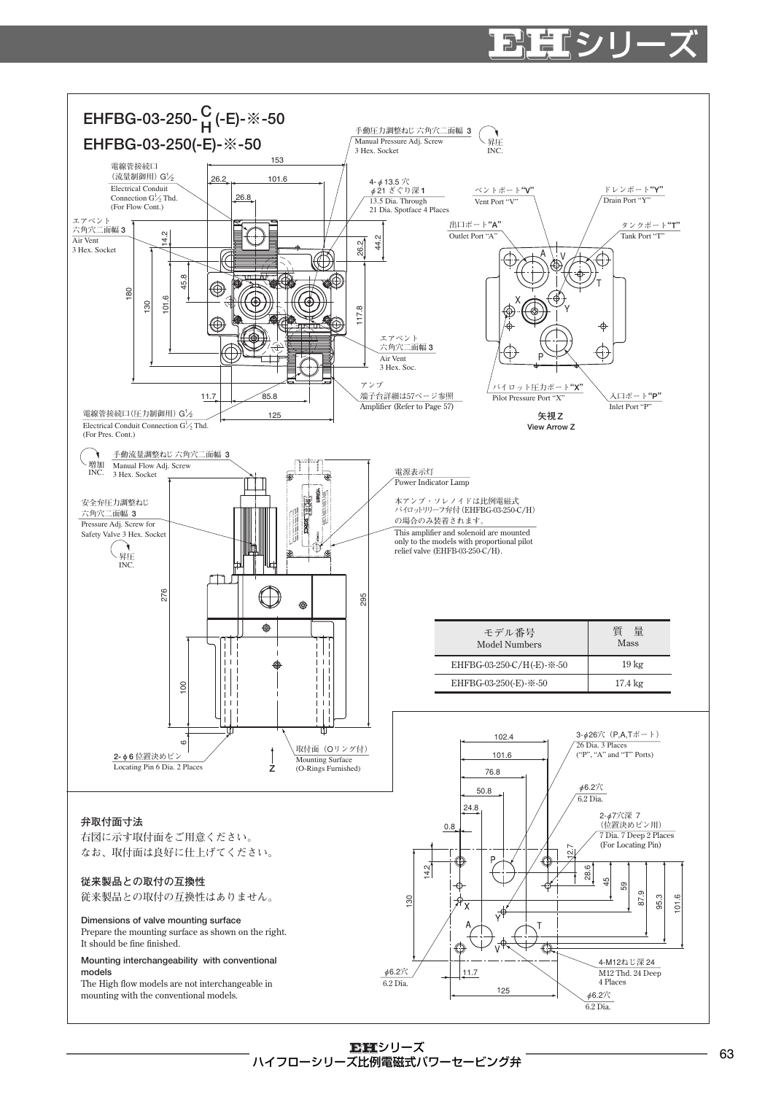## リーマント E

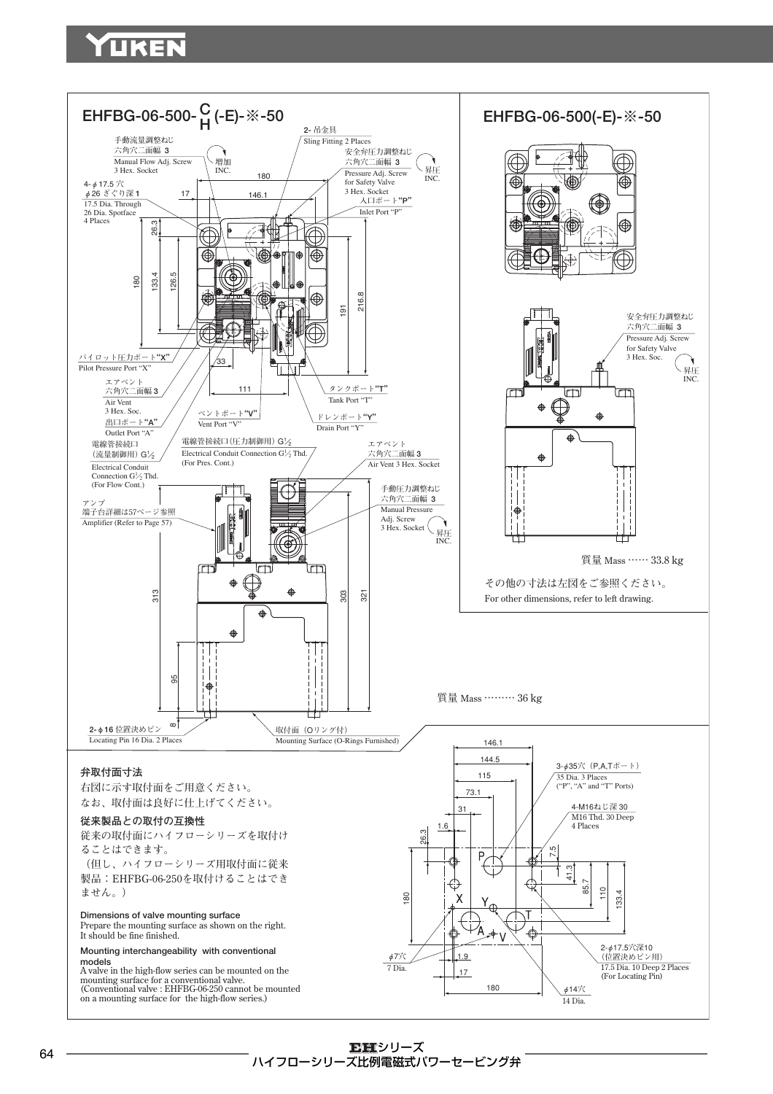## UKEI

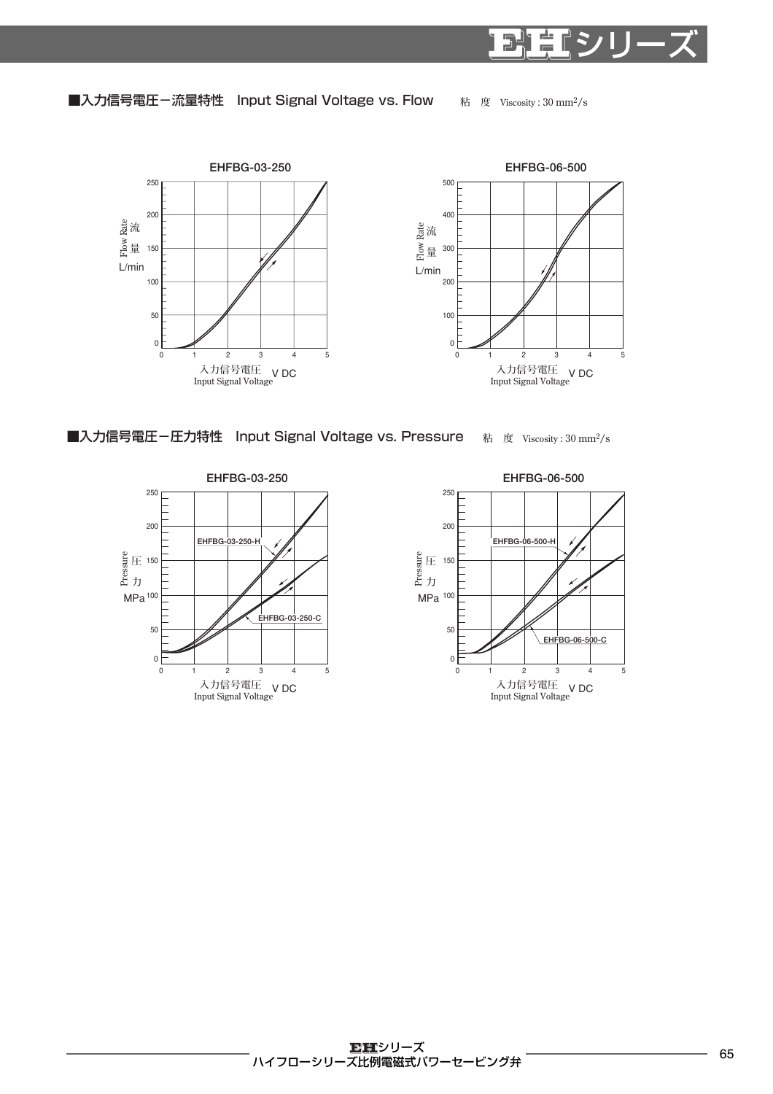■入力信号電圧-流量特性 Input Signal Voltage vs. Flow





**粘 度 Viscosity : 30 mm2/s**

E

シリーズ